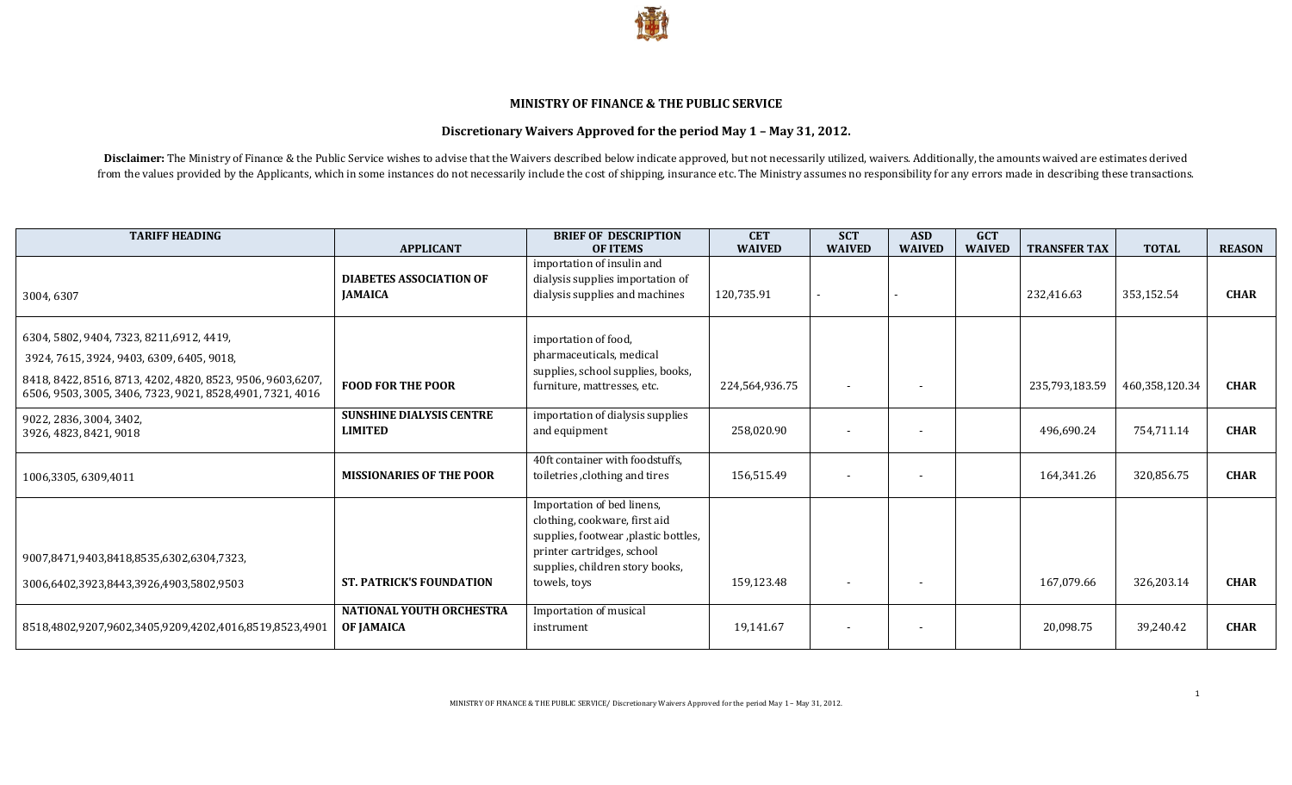

## **MINISTRY OF FINANCE & THE PUBLIC SERVICE**

## **Discretionary Waivers Approved for the period May 1 – May 31, 2012.**

Disclaimer: The Ministry of Finance & the Public Service wishes to advise that the Waivers described below indicate approved, but not necessarily utilized, waivers. Additionally, the amounts waived are estimates derived from the values provided by the Applicants, which in some instances do not necessarily include the cost of shipping, insurance etc. The Ministry assumes no responsibility for any errors made in describing these transactions.

| <b>TARIFF HEADING</b>                                                                                                                                                                                              | <b>APPLICANT</b>                                     | <b>BRIEF OF DESCRIPTION</b><br><b>OF ITEMS</b>                                                                                                                                        | <b>CET</b><br><b>WAIVED</b> | <b>SCT</b><br><b>WAIVED</b> | <b>ASD</b><br><b>WAIVED</b> | <b>GCT</b><br><b>WAIVED</b> | <b>TRANSFER TAX</b> | <b>TOTAL</b>   | <b>REASON</b> |
|--------------------------------------------------------------------------------------------------------------------------------------------------------------------------------------------------------------------|------------------------------------------------------|---------------------------------------------------------------------------------------------------------------------------------------------------------------------------------------|-----------------------------|-----------------------------|-----------------------------|-----------------------------|---------------------|----------------|---------------|
| 3004,6307                                                                                                                                                                                                          | <b>DIABETES ASSOCIATION OF</b><br><b>JAMAICA</b>     | importation of insulin and<br>dialysis supplies importation of<br>dialysis supplies and machines                                                                                      | 120,735.91                  |                             |                             |                             | 232,416.63          | 353,152.54     | <b>CHAR</b>   |
| 6304, 5802, 9404, 7323, 8211, 6912, 4419,<br>3924, 7615, 3924, 9403, 6309, 6405, 9018,<br>8418, 8422, 8516, 8713, 4202, 4820, 8523, 9506, 9603,6207,<br>6506, 9503, 3005, 3406, 7323, 9021, 8528, 4901, 7321, 4016 | <b>FOOD FOR THE POOR</b>                             | importation of food,<br>pharmaceuticals, medical<br>supplies, school supplies, books,<br>furniture, mattresses, etc.                                                                  | 224,564,936.75              | $\overline{\phantom{a}}$    |                             |                             | 235,793,183.59      | 460,358,120.34 | <b>CHAR</b>   |
| 9022, 2836, 3004, 3402,<br>3926, 4823, 8421, 9018                                                                                                                                                                  | <b>SUNSHINE DIALYSIS CENTRE</b><br><b>LIMITED</b>    | importation of dialysis supplies<br>and equipment                                                                                                                                     | 258.020.90                  | $\overline{\phantom{a}}$    |                             |                             | 496.690.24          | 754.711.14     | <b>CHAR</b>   |
| 1006,3305, 6309,4011                                                                                                                                                                                               | <b>MISSIONARIES OF THE POOR</b>                      | 40ft container with foodstuffs,<br>toiletries, clothing and tires                                                                                                                     | 156,515.49                  |                             |                             |                             | 164,341.26          | 320,856.75     | <b>CHAR</b>   |
| 9007,8471,9403,8418,8535,6302,6304,7323,<br>3006,6402,3923,8443,3926,4903,5802,9503                                                                                                                                | <b>ST. PATRICK'S FOUNDATION</b>                      | Importation of bed linens,<br>clothing, cookware, first aid<br>supplies, footwear , plastic bottles,<br>printer cartridges, school<br>supplies, children story books,<br>towels, toys | 159,123.48                  | $\overline{\phantom{a}}$    | $\overline{\phantom{0}}$    |                             | 167,079.66          | 326,203.14     | <b>CHAR</b>   |
| 8518,4802,9207,9602,3405,9209,4202,4016,8519,8523,4901                                                                                                                                                             | <b>NATIONAL YOUTH ORCHESTRA</b><br><b>OF JAMAICA</b> | Importation of musical<br>instrument                                                                                                                                                  | 19,141.67                   | $\overline{\phantom{a}}$    |                             |                             | 20,098.75           | 39,240.42      | <b>CHAR</b>   |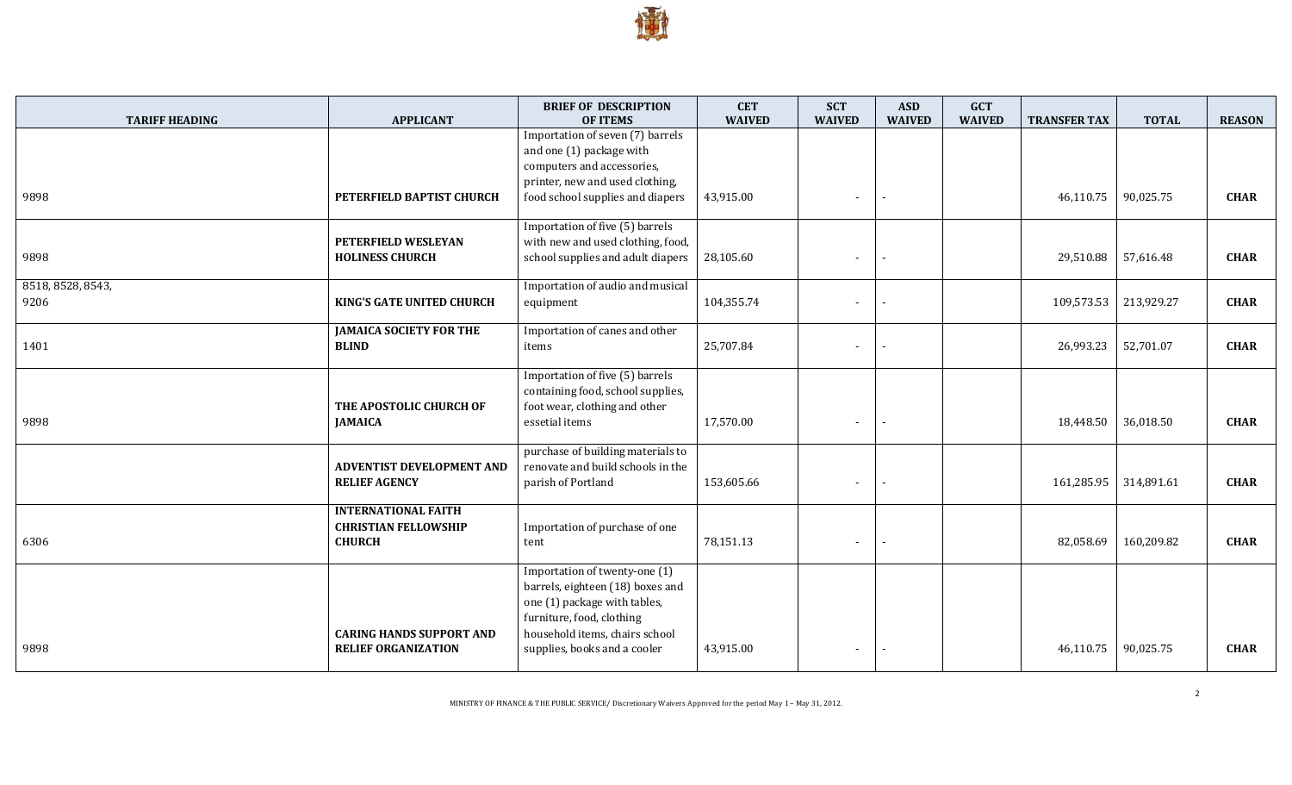

| <b>TARIFF HEADING</b>     | <b>APPLICANT</b>                                                           | <b>BRIEF OF DESCRIPTION</b><br><b>OF ITEMS</b>                                                                                                                                                   | <b>CET</b><br><b>WAIVED</b> | <b>SCT</b><br><b>WAIVED</b> | <b>ASD</b><br><b>WAIVED</b> | <b>GCT</b><br><b>WAIVED</b> | <b>TRANSFER TAX</b> | <b>TOTAL</b> | <b>REASON</b> |
|---------------------------|----------------------------------------------------------------------------|--------------------------------------------------------------------------------------------------------------------------------------------------------------------------------------------------|-----------------------------|-----------------------------|-----------------------------|-----------------------------|---------------------|--------------|---------------|
| 9898                      | PETERFIELD BAPTIST CHURCH                                                  | Importation of seven (7) barrels<br>and one (1) package with<br>computers and accessories,<br>printer, new and used clothing,<br>food school supplies and diapers                                | 43,915.00                   |                             |                             |                             | 46,110.75           | 90,025.75    | <b>CHAR</b>   |
| 9898                      | PETERFIELD WESLEYAN<br><b>HOLINESS CHURCH</b>                              | Importation of five (5) barrels<br>with new and used clothing, food,<br>school supplies and adult diapers                                                                                        | 28,105.60                   | $\overline{\phantom{a}}$    |                             |                             | 29,510.88           | 57,616.48    | <b>CHAR</b>   |
| 8518, 8528, 8543,<br>9206 | KING'S GATE UNITED CHURCH                                                  | Importation of audio and musical<br>equipment                                                                                                                                                    | 104,355.74                  |                             |                             |                             | 109,573.53          | 213,929.27   | <b>CHAR</b>   |
| 1401                      | <b>JAMAICA SOCIETY FOR THE</b><br><b>BLIND</b>                             | Importation of canes and other<br>items                                                                                                                                                          | 25,707.84                   |                             |                             |                             | 26,993.23           | 52,701.07    | <b>CHAR</b>   |
| 9898                      | THE APOSTOLIC CHURCH OF<br><b>JAMAICA</b>                                  | Importation of five (5) barrels<br>containing food, school supplies,<br>foot wear, clothing and other<br>essetial items                                                                          | 17,570.00                   |                             |                             |                             | 18,448.50           | 36,018.50    | <b>CHAR</b>   |
|                           | <b>ADVENTIST DEVELOPMENT AND</b><br><b>RELIEF AGENCY</b>                   | purchase of building materials to<br>renovate and build schools in the<br>parish of Portland                                                                                                     | 153,605.66                  |                             |                             |                             | 161,285.95          | 314,891.61   | <b>CHAR</b>   |
| 6306                      | <b>INTERNATIONAL FAITH</b><br><b>CHRISTIAN FELLOWSHIP</b><br><b>CHURCH</b> | Importation of purchase of one<br>tent                                                                                                                                                           | 78,151.13                   | $\blacksquare$              |                             |                             | 82,058.69           | 160,209.82   | <b>CHAR</b>   |
| 9898                      | <b>CARING HANDS SUPPORT AND</b><br><b>RELIEF ORGANIZATION</b>              | Importation of twenty-one (1)<br>barrels, eighteen (18) boxes and<br>one (1) package with tables,<br>furniture, food, clothing<br>household items, chairs school<br>supplies, books and a cooler | 43,915.00                   |                             |                             |                             | 46,110.75           | 90,025.75    | <b>CHAR</b>   |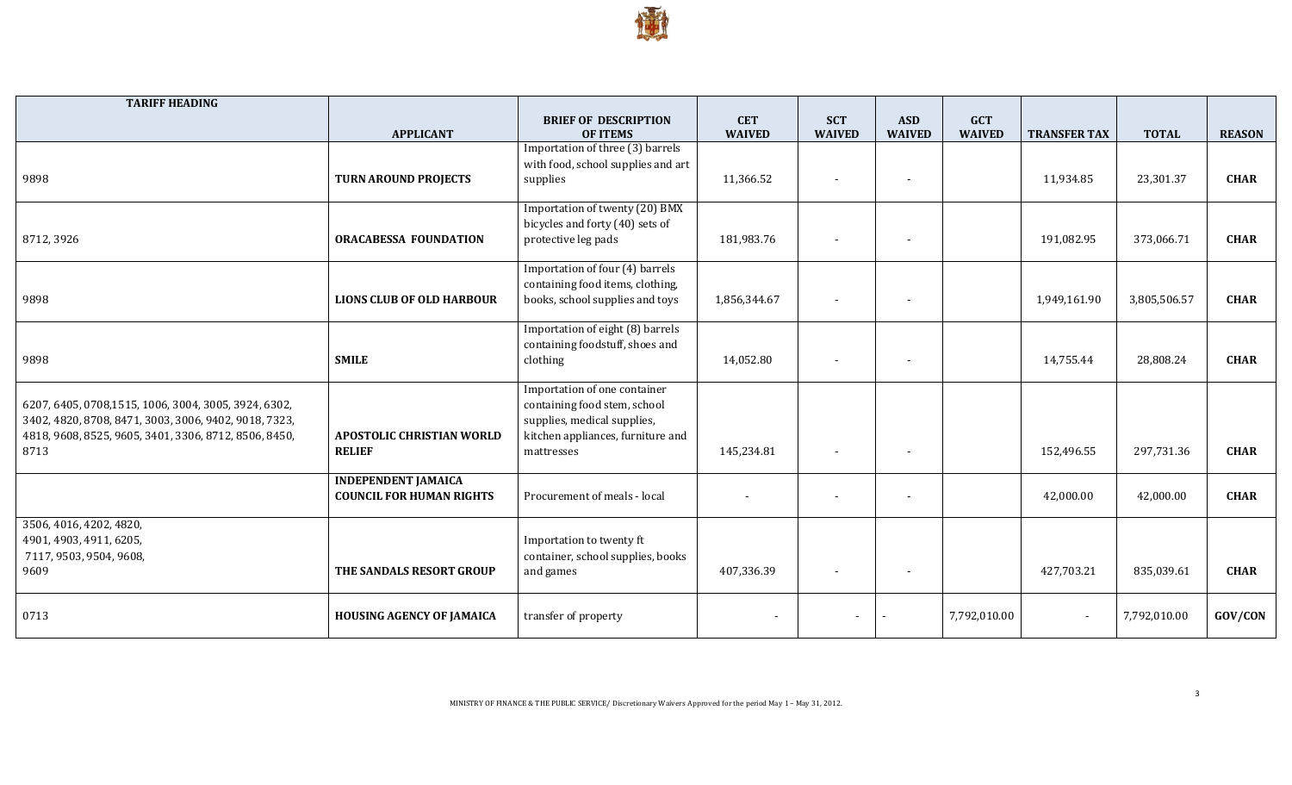

| <b>TARIFF HEADING</b>                                                                                         |                                  |                                                                     |                             |                             |                             |                             |                          |              |               |
|---------------------------------------------------------------------------------------------------------------|----------------------------------|---------------------------------------------------------------------|-----------------------------|-----------------------------|-----------------------------|-----------------------------|--------------------------|--------------|---------------|
|                                                                                                               | <b>APPLICANT</b>                 | <b>BRIEF OF DESCRIPTION</b><br><b>OF ITEMS</b>                      | <b>CET</b><br><b>WAIVED</b> | <b>SCT</b><br><b>WAIVED</b> | <b>ASD</b><br><b>WAIVED</b> | <b>GCT</b><br><b>WAIVED</b> | <b>TRANSFER TAX</b>      | <b>TOTAL</b> | <b>REASON</b> |
|                                                                                                               |                                  | Importation of three (3) barrels                                    |                             |                             |                             |                             |                          |              |               |
|                                                                                                               |                                  | with food, school supplies and art                                  |                             |                             |                             |                             |                          |              |               |
| 9898                                                                                                          | <b>TURN AROUND PROJECTS</b>      | supplies                                                            | 11,366.52                   | $\overline{\phantom{a}}$    |                             |                             | 11,934.85                | 23,301.37    | <b>CHAR</b>   |
|                                                                                                               |                                  | Importation of twenty (20) BMX                                      |                             |                             |                             |                             |                          |              |               |
| 8712, 3926                                                                                                    | <b>ORACABESSA FOUNDATION</b>     | bicycles and forty (40) sets of<br>protective leg pads              | 181,983.76                  |                             |                             |                             | 191,082.95               | 373,066.71   | <b>CHAR</b>   |
|                                                                                                               |                                  |                                                                     |                             |                             |                             |                             |                          |              |               |
|                                                                                                               |                                  | Importation of four (4) barrels                                     |                             |                             |                             |                             |                          |              |               |
| 9898                                                                                                          | <b>LIONS CLUB OF OLD HARBOUR</b> | containing food items, clothing,<br>books, school supplies and toys | 1,856,344.67                | $\overline{\phantom{a}}$    |                             |                             | 1,949,161.90             | 3,805,506.57 | <b>CHAR</b>   |
|                                                                                                               |                                  |                                                                     |                             |                             |                             |                             |                          |              |               |
|                                                                                                               |                                  | Importation of eight (8) barrels                                    |                             |                             |                             |                             |                          |              |               |
| 9898                                                                                                          | <b>SMILE</b>                     | containing foodstuff, shoes and<br>clothing                         | 14,052.80                   | $\overline{\phantom{a}}$    |                             |                             | 14,755.44                | 28,808.24    | <b>CHAR</b>   |
|                                                                                                               |                                  |                                                                     |                             |                             |                             |                             |                          |              |               |
|                                                                                                               |                                  | Importation of one container                                        |                             |                             |                             |                             |                          |              |               |
| 6207, 6405, 0708,1515, 1006, 3004, 3005, 3924, 6302,<br>3402, 4820, 8708, 8471, 3003, 3006, 9402, 9018, 7323, |                                  | containing food stem, school<br>supplies, medical supplies,         |                             |                             |                             |                             |                          |              |               |
| 4818, 9608, 8525, 9605, 3401, 3306, 8712, 8506, 8450,                                                         | <b>APOSTOLIC CHRISTIAN WORLD</b> | kitchen appliances, furniture and                                   |                             |                             |                             |                             |                          |              |               |
| 8713                                                                                                          | <b>RELIEF</b>                    | mattresses                                                          | 145,234.81                  | $\overline{\phantom{0}}$    |                             |                             | 152,496.55               | 297,731.36   | <b>CHAR</b>   |
|                                                                                                               | <b>INDEPENDENT JAMAICA</b>       |                                                                     |                             |                             |                             |                             |                          |              |               |
|                                                                                                               | <b>COUNCIL FOR HUMAN RIGHTS</b>  | Procurement of meals - local                                        | $\blacksquare$              |                             |                             |                             | 42,000.00                | 42,000.00    | <b>CHAR</b>   |
| 3506, 4016, 4202, 4820,                                                                                       |                                  |                                                                     |                             |                             |                             |                             |                          |              |               |
| 4901, 4903, 4911, 6205,                                                                                       |                                  | Importation to twenty ft                                            |                             |                             |                             |                             |                          |              |               |
| 7117, 9503, 9504, 9608,                                                                                       |                                  | container, school supplies, books                                   |                             |                             |                             |                             |                          |              |               |
| 9609                                                                                                          | THE SANDALS RESORT GROUP         | and games                                                           | 407,336.39                  | $\overline{\phantom{0}}$    |                             |                             | 427,703.21               | 835,039.61   | <b>CHAR</b>   |
|                                                                                                               |                                  |                                                                     |                             |                             |                             |                             |                          |              |               |
| 0713                                                                                                          | <b>HOUSING AGENCY OF JAMAICA</b> | transfer of property                                                | $\overline{\phantom{a}}$    |                             |                             | 7,792,010.00                | $\overline{\phantom{a}}$ | 7,792,010.00 | GOV/CON       |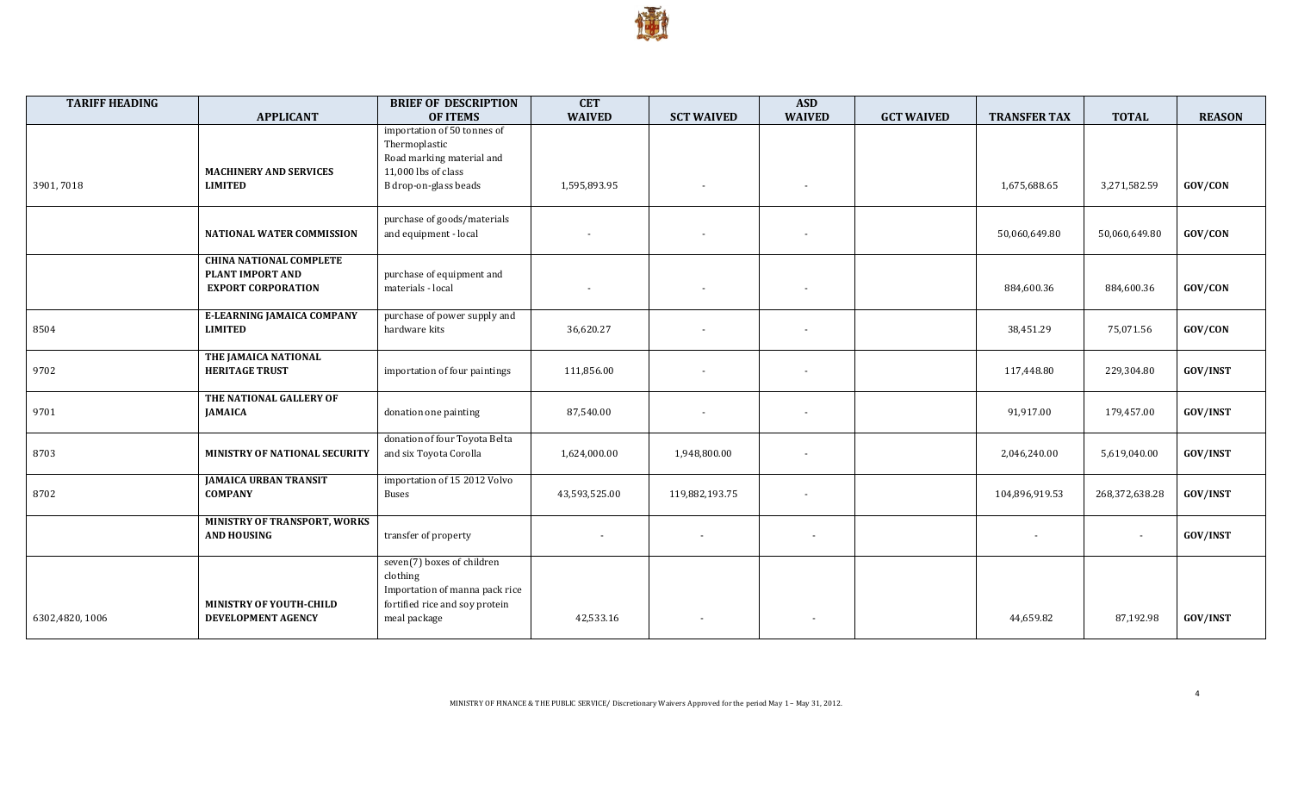

| <b>TARIFF HEADING</b> |                                                                                 | <b>BRIEF OF DESCRIPTION</b>                                                                                                | <b>CET</b>               |                          | <b>ASD</b>               |                   |                     |                          |                 |
|-----------------------|---------------------------------------------------------------------------------|----------------------------------------------------------------------------------------------------------------------------|--------------------------|--------------------------|--------------------------|-------------------|---------------------|--------------------------|-----------------|
|                       | <b>APPLICANT</b>                                                                | <b>OF ITEMS</b>                                                                                                            | <b>WAIVED</b>            | <b>SCT WAIVED</b>        | <b>WAIVED</b>            | <b>GCT WAIVED</b> | <b>TRANSFER TAX</b> | <b>TOTAL</b>             | <b>REASON</b>   |
|                       |                                                                                 | importation of 50 tonnes of<br>Thermoplastic<br>Road marking material and                                                  |                          |                          |                          |                   |                     |                          |                 |
| 3901,7018             | <b>MACHINERY AND SERVICES</b><br><b>LIMITED</b>                                 | 11,000 lbs of class<br>B drop-on-glass beads                                                                               | 1,595,893.95             | $\overline{\phantom{a}}$ | $\overline{\phantom{a}}$ |                   | 1,675,688.65        | 3,271,582.59             | GOV/CON         |
|                       | <b>NATIONAL WATER COMMISSION</b>                                                | purchase of goods/materials<br>and equipment - local                                                                       | $\overline{\phantom{a}}$ |                          | $\overline{\phantom{a}}$ |                   | 50,060,649.80       | 50,060,649.80            | GOV/CON         |
|                       | <b>CHINA NATIONAL COMPLETE</b><br>PLANT IMPORT AND<br><b>EXPORT CORPORATION</b> | purchase of equipment and<br>materials - local                                                                             | $\overline{\phantom{a}}$ |                          | $\overline{\phantom{a}}$ |                   | 884,600.36          | 884,600.36               | GOV/CON         |
| 8504                  | E-LEARNING JAMAICA COMPANY<br><b>LIMITED</b>                                    | purchase of power supply and<br>hardware kits                                                                              | 36,620.27                |                          | $\overline{\phantom{a}}$ |                   | 38,451.29           | 75,071.56                | GOV/CON         |
| 9702                  | THE JAMAICA NATIONAL<br><b>HERITAGE TRUST</b>                                   | importation of four paintings                                                                                              | 111,856.00               |                          | $\overline{\phantom{a}}$ |                   | 117,448.80          | 229,304.80               | GOV/INST        |
| 9701                  | THE NATIONAL GALLERY OF<br><b>JAMAICA</b>                                       | donation one painting                                                                                                      | 87,540.00                |                          | $\overline{\phantom{a}}$ |                   | 91,917.00           | 179,457.00               | GOV/INST        |
| 8703                  | MINISTRY OF NATIONAL SECURITY                                                   | donation of four Toyota Belta<br>and six Toyota Corolla                                                                    | 1,624,000.00             | 1,948,800.00             | $\overline{\phantom{a}}$ |                   | 2,046,240.00        | 5,619,040.00             | GOV/INST        |
| 8702                  | <b>JAMAICA URBAN TRANSIT</b><br><b>COMPANY</b>                                  | importation of 15 2012 Volvo<br>Buses                                                                                      | 43,593,525.00            | 119,882,193.75           | $\overline{\phantom{a}}$ |                   | 104,896,919.53      | 268,372,638.28           | GOV/INST        |
|                       | MINISTRY OF TRANSPORT, WORKS<br><b>AND HOUSING</b>                              | transfer of property                                                                                                       |                          | $\overline{\phantom{a}}$ | $\overline{\phantom{a}}$ |                   |                     | $\overline{\phantom{a}}$ | GOV/INST        |
| 6302,4820, 1006       | <b>MINISTRY OF YOUTH-CHILD</b><br>DEVELOPMENT AGENCY                            | seven(7) boxes of children<br>clothing<br>Importation of manna pack rice<br>fortified rice and soy protein<br>meal package | 42,533.16                |                          | $\overline{\phantom{a}}$ |                   | 44,659.82           | 87,192.98                | <b>GOV/INST</b> |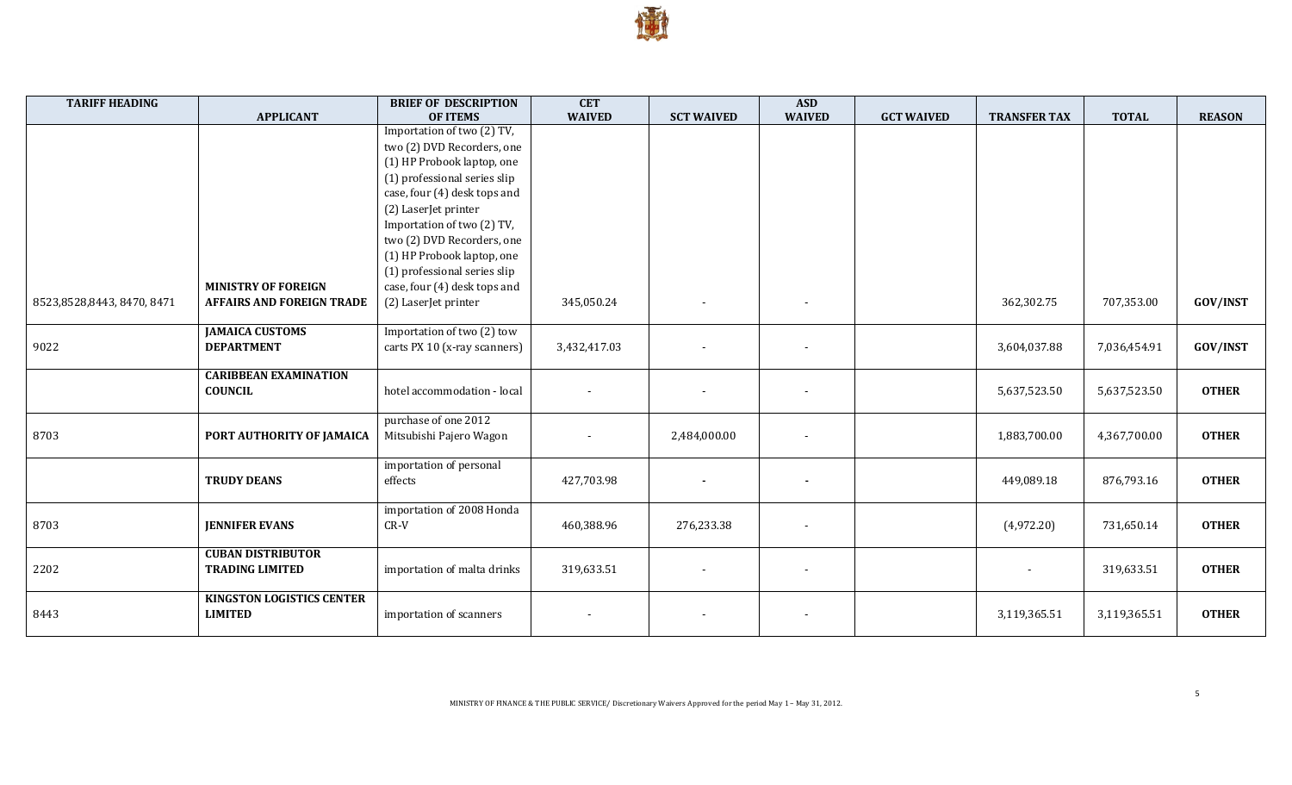

| <b>WAIVED</b><br><b>WAIVED</b><br><b>APPLICANT</b><br><b>OF ITEMS</b><br><b>SCT WAIVED</b><br><b>GCT WAIVED</b><br><b>TRANSFER TAX</b><br><b>TOTAL</b><br>Importation of two (2) TV, | <b>REASON</b>   |
|--------------------------------------------------------------------------------------------------------------------------------------------------------------------------------------|-----------------|
|                                                                                                                                                                                      |                 |
|                                                                                                                                                                                      |                 |
| two (2) DVD Recorders, one                                                                                                                                                           |                 |
| (1) HP Probook laptop, one                                                                                                                                                           |                 |
| (1) professional series slip                                                                                                                                                         |                 |
| case, four (4) desk tops and                                                                                                                                                         |                 |
| (2) LaserJet printer                                                                                                                                                                 |                 |
| Importation of two (2) TV,                                                                                                                                                           |                 |
| two (2) DVD Recorders, one                                                                                                                                                           |                 |
| (1) HP Probook laptop, one                                                                                                                                                           |                 |
| (1) professional series slip                                                                                                                                                         |                 |
| <b>MINISTRY OF FOREIGN</b><br>case, four (4) desk tops and                                                                                                                           |                 |
| 362,302.75<br>707,353.00<br>8523,8528,8443,8470,8471<br><b>AFFAIRS AND FOREIGN TRADE</b><br>(2) LaserJet printer<br>345,050.24                                                       | <b>GOV/INST</b> |
|                                                                                                                                                                                      |                 |
| <b>JAMAICA CUSTOMS</b><br>Importation of two (2) tow                                                                                                                                 |                 |
| 9022<br><b>DEPARTMENT</b><br>3,432,417.03<br>carts PX 10 (x-ray scanners)<br>3,604,037.88<br>7,036,454.91                                                                            | <b>GOV/INST</b> |
|                                                                                                                                                                                      |                 |
| <b>CARIBBEAN EXAMINATION</b>                                                                                                                                                         |                 |
| <b>COUNCIL</b><br>hotel accommodation - local<br>5,637,523.50<br>5,637,523.50                                                                                                        | <b>OTHER</b>    |
|                                                                                                                                                                                      |                 |
| purchase of one 2012                                                                                                                                                                 |                 |
| 8703<br>Mitsubishi Pajero Wagon<br>PORT AUTHORITY OF JAMAICA<br>1,883,700.00<br>4,367,700.00<br>2,484,000.00                                                                         | <b>OTHER</b>    |
|                                                                                                                                                                                      |                 |
| importation of personal                                                                                                                                                              |                 |
| 427,703.98<br><b>TRUDY DEANS</b><br>effects<br>449,089.18<br>876,793.16                                                                                                              | <b>OTHER</b>    |
|                                                                                                                                                                                      |                 |
| importation of 2008 Honda                                                                                                                                                            |                 |
| 8703<br><b>JENNIFER EVANS</b><br>$CR-V$<br>460,388.96<br>276,233.38<br>(4,972.20)<br>731,650.14<br>$\overline{\phantom{a}}$                                                          | <b>OTHER</b>    |
| <b>CUBAN DISTRIBUTOR</b>                                                                                                                                                             |                 |
| 2202                                                                                                                                                                                 | <b>OTHER</b>    |
| <b>TRADING LIMITED</b><br>importation of malta drinks<br>319,633.51<br>319,633.51<br>$\sim$<br>$\overline{\phantom{a}}$<br>$\overline{\phantom{a}}$                                  |                 |
| <b>KINGSTON LOGISTICS CENTER</b>                                                                                                                                                     |                 |
| <b>LIMITED</b><br>3,119,365.51<br>8443<br>importation of scanners<br>3,119,365.51<br>$\overline{\phantom{a}}$                                                                        | <b>OTHER</b>    |
|                                                                                                                                                                                      |                 |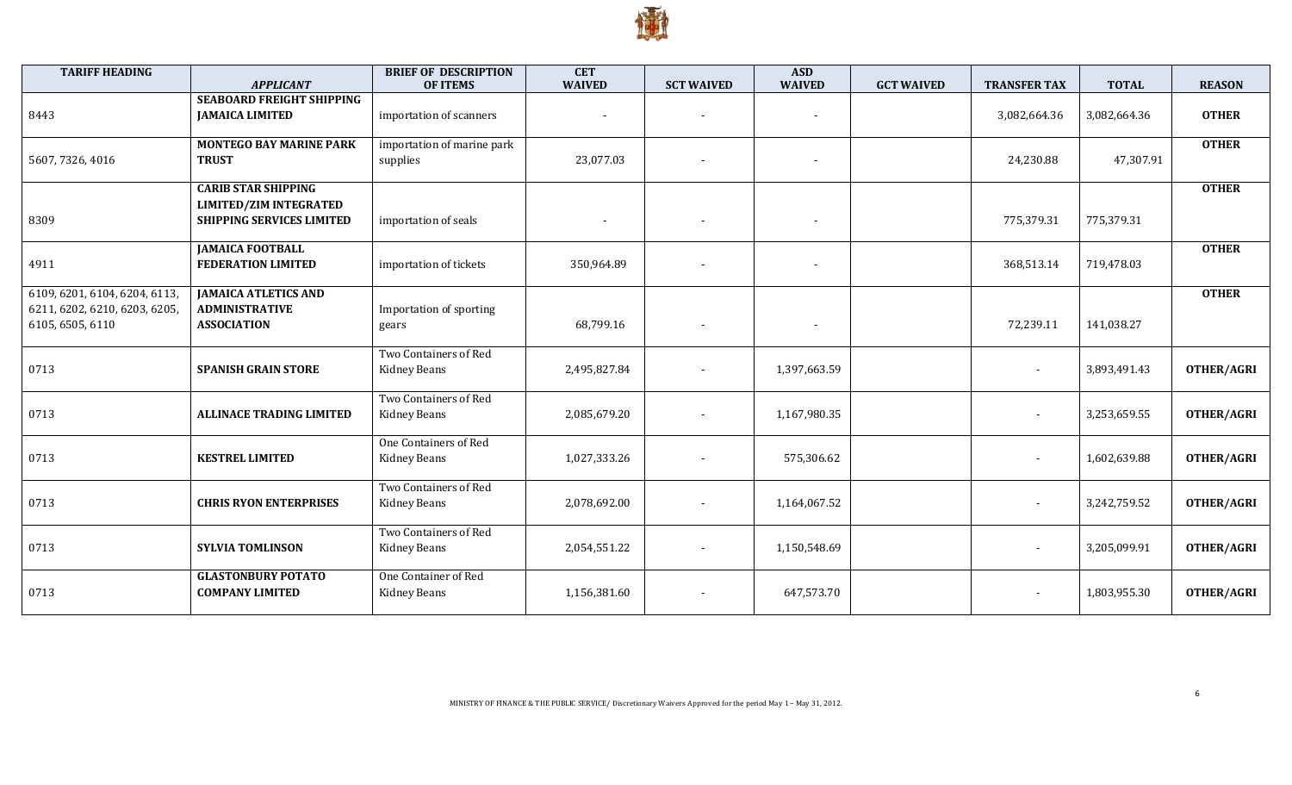

| <b>TARIFF HEADING</b>                                                              | <b>APPLICANT</b>                                                                                | <b>BRIEF OF DESCRIPTION</b><br><b>OF ITEMS</b> | <b>CET</b><br><b>WAIVED</b> | <b>SCT WAIVED</b>        | <b>ASD</b><br><b>WAIVED</b> | <b>GCT WAIVED</b> | <b>TRANSFER TAX</b>      | <b>TOTAL</b> | <b>REASON</b>     |
|------------------------------------------------------------------------------------|-------------------------------------------------------------------------------------------------|------------------------------------------------|-----------------------------|--------------------------|-----------------------------|-------------------|--------------------------|--------------|-------------------|
| 8443                                                                               | <b>SEABOARD FREIGHT SHIPPING</b><br><b>JAMAICA LIMITED</b>                                      | importation of scanners                        |                             |                          | $\blacksquare$              |                   | 3,082,664.36             | 3,082,664.36 | <b>OTHER</b>      |
| 5607, 7326, 4016                                                                   | <b>MONTEGO BAY MARINE PARK</b><br><b>TRUST</b>                                                  | importation of marine park<br>supplies         | 23,077.03                   |                          | $\overline{\phantom{a}}$    |                   | 24,230.88                | 47,307.91    | <b>OTHER</b>      |
| 8309                                                                               | <b>CARIB STAR SHIPPING</b><br><b>LIMITED/ZIM INTEGRATED</b><br><b>SHIPPING SERVICES LIMITED</b> | importation of seals                           | $\sim$                      | $\overline{\phantom{a}}$ | $\overline{\phantom{a}}$    |                   | 775,379.31               | 775,379.31   | <b>OTHER</b>      |
| 4911                                                                               | <b>JAMAICA FOOTBALL</b><br><b>FEDERATION LIMITED</b>                                            | importation of tickets                         | 350,964.89                  |                          | $\overline{\phantom{a}}$    |                   | 368,513.14               | 719,478.03   | <b>OTHER</b>      |
| 6109, 6201, 6104, 6204, 6113,<br>6211, 6202, 6210, 6203, 6205,<br>6105, 6505, 6110 | <b>JAMAICA ATLETICS AND</b><br><b>ADMINISTRATIVE</b><br><b>ASSOCIATION</b>                      | Importation of sporting<br>gears               | 68,799.16                   |                          | $\overline{\phantom{a}}$    |                   | 72,239.11                | 141,038.27   | <b>OTHER</b>      |
| 0713                                                                               | <b>SPANISH GRAIN STORE</b>                                                                      | Two Containers of Red<br>Kidney Beans          | 2,495,827.84                |                          | 1,397,663.59                |                   |                          | 3,893,491.43 | OTHER/AGRI        |
| 0713                                                                               | <b>ALLINACE TRADING LIMITED</b>                                                                 | Two Containers of Red<br>Kidney Beans          | 2,085,679.20                | $\overline{\phantom{a}}$ | 1,167,980.35                |                   | $\overline{\phantom{a}}$ | 3,253,659.55 | OTHER/AGRI        |
| 0713                                                                               | <b>KESTREL LIMITED</b>                                                                          | One Containers of Red<br>Kidney Beans          | 1,027,333.26                | $\overline{\phantom{a}}$ | 575,306.62                  |                   | $\overline{\phantom{a}}$ | 1,602,639.88 | <b>OTHER/AGRI</b> |
| 0713                                                                               | <b>CHRIS RYON ENTERPRISES</b>                                                                   | Two Containers of Red<br>Kidney Beans          | 2,078,692.00                |                          | 1,164,067.52                |                   | $\overline{\phantom{a}}$ | 3,242,759.52 | <b>OTHER/AGRI</b> |
| 0713                                                                               | <b>SYLVIA TOMLINSON</b>                                                                         | Two Containers of Red<br>Kidney Beans          | 2,054,551.22                |                          | 1,150,548.69                |                   | $\blacksquare$           | 3,205,099.91 | <b>OTHER/AGRI</b> |
| 0713                                                                               | <b>GLASTONBURY POTATO</b><br><b>COMPANY LIMITED</b>                                             | One Container of Red<br>Kidney Beans           | 1,156,381.60                |                          | 647,573.70                  |                   |                          | 1,803,955.30 | OTHER/AGRI        |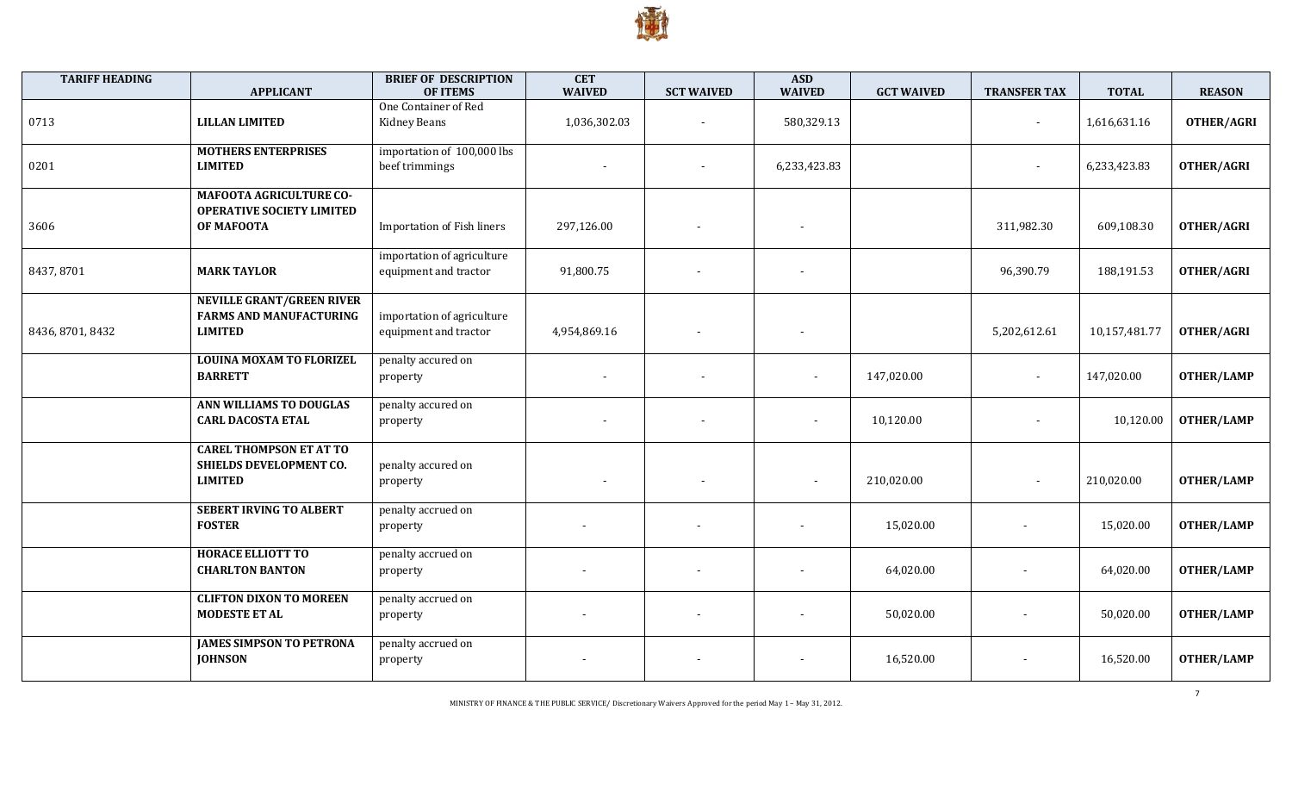

| <b>TARIFF HEADING</b> | <b>APPLICANT</b>                                                                     | <b>BRIEF OF DESCRIPTION</b><br><b>OF ITEMS</b>      | <b>CET</b><br><b>WAIVED</b> | <b>SCT WAIVED</b>        | <b>ASD</b><br><b>WAIVED</b> | <b>GCT WAIVED</b> | <b>TRANSFER TAX</b> | <b>TOTAL</b>  | <b>REASON</b>     |
|-----------------------|--------------------------------------------------------------------------------------|-----------------------------------------------------|-----------------------------|--------------------------|-----------------------------|-------------------|---------------------|---------------|-------------------|
| 0713                  | <b>LILLAN LIMITED</b>                                                                | One Container of Red<br>Kidney Beans                | 1,036,302.03                | $\blacksquare$           | 580,329.13                  |                   | $\sim$              | 1,616,631.16  | <b>OTHER/AGRI</b> |
| 0201                  | <b>MOTHERS ENTERPRISES</b><br><b>LIMITED</b>                                         | importation of 100,000 lbs<br>beef trimmings        | $\overline{\phantom{a}}$    |                          | 6,233,423.83                |                   |                     | 6,233,423.83  | <b>OTHER/AGRI</b> |
| 3606                  | <b>MAFOOTA AGRICULTURE CO-</b><br><b>OPERATIVE SOCIETY LIMITED</b><br>OF MAFOOTA     | <b>Importation of Fish liners</b>                   | 297,126.00                  |                          |                             |                   | 311,982.30          | 609,108.30    | <b>OTHER/AGRI</b> |
| 8437, 8701            | <b>MARK TAYLOR</b>                                                                   | importation of agriculture<br>equipment and tractor | 91,800.75                   |                          |                             |                   | 96,390.79           | 188,191.53    | <b>OTHER/AGRI</b> |
| 8436, 8701, 8432      | <b>NEVILLE GRANT/GREEN RIVER</b><br><b>FARMS AND MANUFACTURING</b><br><b>LIMITED</b> | importation of agriculture<br>equipment and tractor | 4,954,869.16                |                          |                             |                   | 5,202,612.61        | 10,157,481.77 | <b>OTHER/AGRI</b> |
|                       | <b>LOUINA MOXAM TO FLORIZEL</b><br><b>BARRETT</b>                                    | penalty accured on<br>property                      | $\overline{\phantom{a}}$    |                          |                             | 147,020.00        | $\sim$              | 147,020.00    | <b>OTHER/LAMP</b> |
|                       | ANN WILLIAMS TO DOUGLAS<br><b>CARL DACOSTA ETAL</b>                                  | penalty accured on<br>property                      | $\overline{\phantom{a}}$    |                          | $\overline{\phantom{a}}$    | 10,120.00         | $\sim$              | 10,120.00     | <b>OTHER/LAMP</b> |
|                       | <b>CAREL THOMPSON ET AT TO</b><br>SHIELDS DEVELOPMENT CO.<br><b>LIMITED</b>          | penalty accured on<br>property                      | $\sim$                      | $\overline{\phantom{a}}$ |                             | 210,020.00        | $\sim$              | 210,020.00    | <b>OTHER/LAMP</b> |
|                       | <b>SEBERT IRVING TO ALBERT</b><br><b>FOSTER</b>                                      | penalty accrued on<br>property                      |                             |                          |                             | 15,020.00         | $\sim$              | 15,020.00     | <b>OTHER/LAMP</b> |
|                       | <b>HORACE ELLIOTT TO</b><br><b>CHARLTON BANTON</b>                                   | penalty accrued on<br>property                      |                             |                          |                             | 64,020.00         |                     | 64,020.00     | <b>OTHER/LAMP</b> |
|                       | <b>CLIFTON DIXON TO MOREEN</b><br><b>MODESTE ET AL</b>                               | penalty accrued on<br>property                      |                             |                          | $\overline{\phantom{a}}$    | 50,020.00         |                     | 50,020.00     | <b>OTHER/LAMP</b> |
|                       | <b>JAMES SIMPSON TO PETRONA</b><br><b>JOHNSON</b>                                    | penalty accrued on<br>property                      |                             |                          | $\overline{\phantom{a}}$    | 16,520.00         |                     | 16,520.00     | <b>OTHER/LAMP</b> |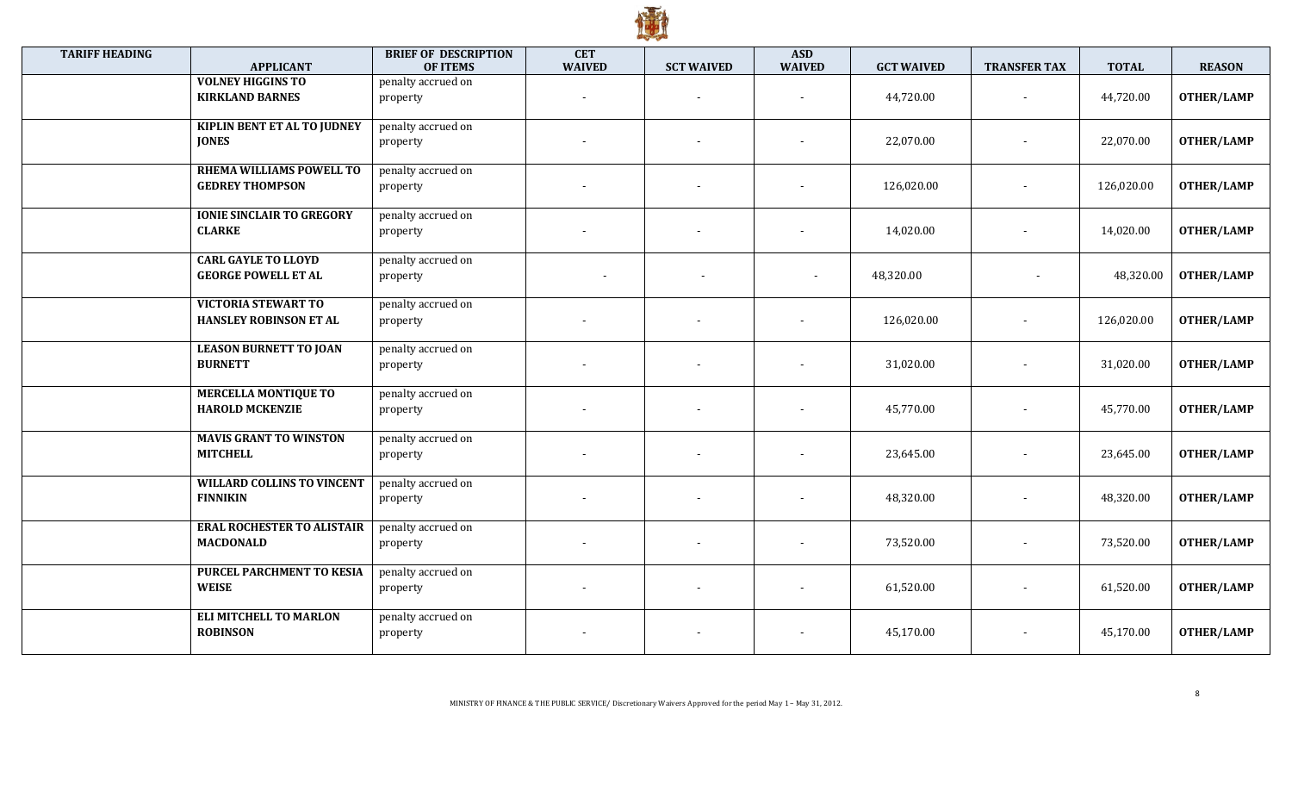

| <b>TARIFF HEADING</b> | <b>APPLICANT</b>                                            | <b>BRIEF OF DESCRIPTION</b><br><b>OF ITEMS</b> | <b>CET</b><br><b>WAIVED</b> | <b>SCT WAIVED</b>        | <b>ASD</b><br><b>WAIVED</b> | <b>GCT WAIVED</b> | <b>TRANSFER TAX</b>      | <b>TOTAL</b> | <b>REASON</b>     |
|-----------------------|-------------------------------------------------------------|------------------------------------------------|-----------------------------|--------------------------|-----------------------------|-------------------|--------------------------|--------------|-------------------|
|                       | <b>VOLNEY HIGGINS TO</b><br><b>KIRKLAND BARNES</b>          | penalty accrued on<br>property                 |                             | $\overline{\phantom{a}}$ | $\overline{a}$              | 44,720.00         |                          | 44,720.00    | <b>OTHER/LAMP</b> |
|                       | <b>KIPLIN BENT ET AL TO JUDNEY</b><br><b>JONES</b>          | penalty accrued on<br>property                 |                             |                          |                             | 22,070.00         |                          | 22,070.00    | <b>OTHER/LAMP</b> |
|                       | RHEMA WILLIAMS POWELL TO<br><b>GEDREY THOMPSON</b>          | penalty accrued on<br>property                 |                             | $\overline{\phantom{a}}$ |                             | 126,020.00        | $\overline{\phantom{a}}$ | 126,020.00   | <b>OTHER/LAMP</b> |
|                       | <b>IONIE SINCLAIR TO GREGORY</b><br><b>CLARKE</b>           | penalty accrued on<br>property                 |                             |                          |                             | 14,020.00         |                          | 14,020.00    | <b>OTHER/LAMP</b> |
|                       | <b>CARL GAYLE TO LLOYD</b><br><b>GEORGE POWELL ET AL</b>    | penalty accrued on<br>property                 | $\overline{\phantom{a}}$    | $\overline{\phantom{a}}$ |                             | 48,320.00         | $\overline{\phantom{a}}$ | 48,320.00    | <b>OTHER/LAMP</b> |
|                       | <b>VICTORIA STEWART TO</b><br><b>HANSLEY ROBINSON ET AL</b> | penalty accrued on<br>property                 |                             | $\overline{\phantom{a}}$ |                             | 126,020.00        |                          | 126,020.00   | <b>OTHER/LAMP</b> |
|                       | <b>LEASON BURNETT TO JOAN</b><br><b>BURNETT</b>             | penalty accrued on<br>property                 |                             |                          |                             | 31,020.00         |                          | 31,020.00    | <b>OTHER/LAMP</b> |
|                       | <b>MERCELLA MONTIQUE TO</b><br><b>HAROLD MCKENZIE</b>       | penalty accrued on<br>property                 |                             | $\overline{\phantom{a}}$ |                             | 45,770.00         |                          | 45,770.00    | <b>OTHER/LAMP</b> |
|                       | <b>MAVIS GRANT TO WINSTON</b><br><b>MITCHELL</b>            | penalty accrued on<br>property                 |                             |                          |                             | 23,645.00         |                          | 23,645.00    | <b>OTHER/LAMP</b> |
|                       | <b>WILLARD COLLINS TO VINCENT</b><br><b>FINNIKIN</b>        | penalty accrued on<br>property                 |                             |                          |                             | 48,320.00         |                          | 48,320.00    | <b>OTHER/LAMP</b> |
|                       | <b>ERAL ROCHESTER TO ALISTAIR</b><br><b>MACDONALD</b>       | penalty accrued on<br>property                 |                             |                          |                             | 73,520.00         |                          | 73,520.00    | <b>OTHER/LAMP</b> |
|                       | PURCEL PARCHMENT TO KESIA<br><b>WEISE</b>                   | penalty accrued on<br>property                 |                             | $\overline{\phantom{a}}$ | $\sim$                      | 61,520.00         |                          | 61,520.00    | <b>OTHER/LAMP</b> |
|                       | <b>ELI MITCHELL TO MARLON</b><br><b>ROBINSON</b>            | penalty accrued on<br>property                 |                             |                          |                             | 45,170.00         |                          | 45,170.00    | <b>OTHER/LAMP</b> |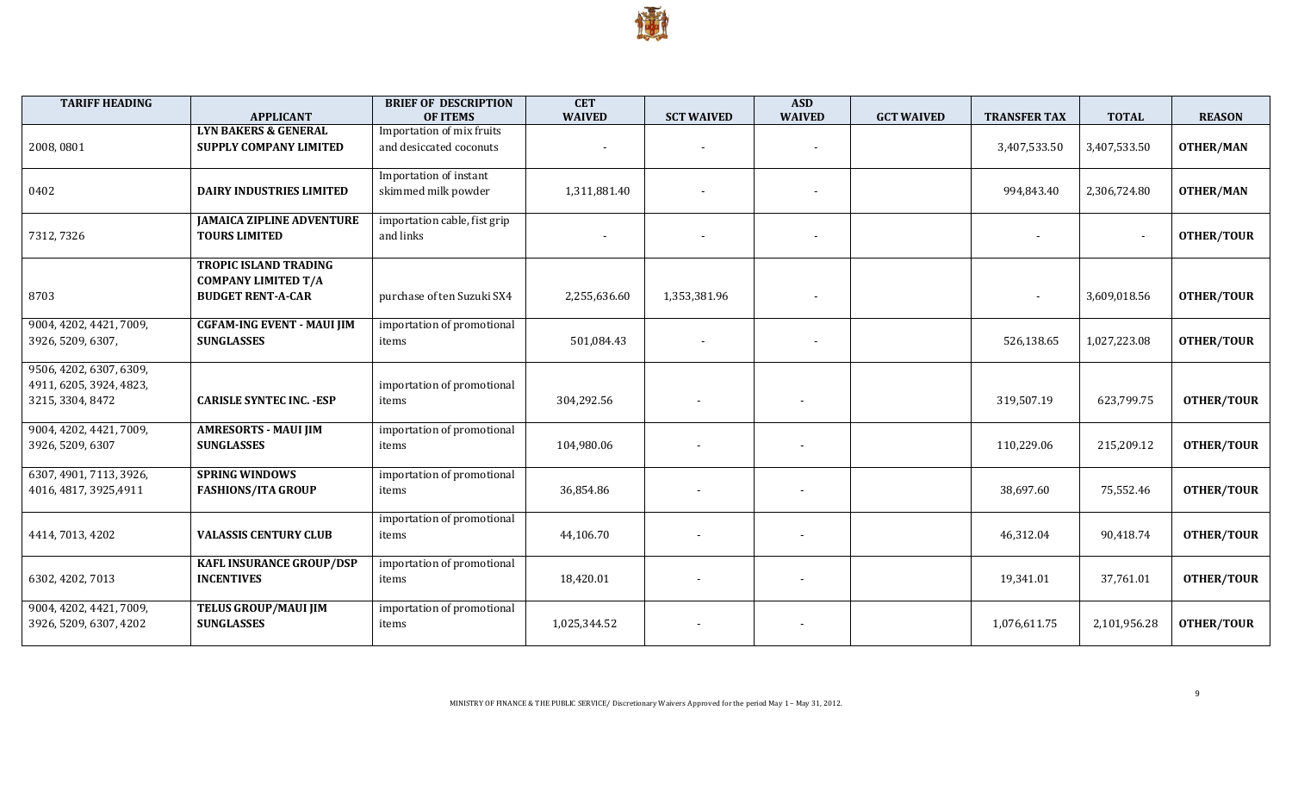

| <b>TARIFF HEADING</b>   | <b>APPLICANT</b>                  | <b>BRIEF OF DESCRIPTION</b><br><b>OF ITEMS</b> | <b>CET</b><br><b>WAIVED</b> | <b>SCT WAIVED</b>        | <b>ASD</b><br><b>WAIVED</b> | <b>GCT WAIVED</b> | <b>TRANSFER TAX</b> | <b>TOTAL</b>   | <b>REASON</b>     |
|-------------------------|-----------------------------------|------------------------------------------------|-----------------------------|--------------------------|-----------------------------|-------------------|---------------------|----------------|-------------------|
|                         | <b>LYN BAKERS &amp; GENERAL</b>   | Importation of mix fruits                      |                             |                          |                             |                   |                     |                |                   |
| 2008,0801               | <b>SUPPLY COMPANY LIMITED</b>     | and desiccated coconuts                        | $\sim$                      | $\overline{\phantom{a}}$ | $\overline{\phantom{a}}$    |                   | 3,407,533.50        | 3,407,533.50   | <b>OTHER/MAN</b>  |
|                         |                                   |                                                |                             |                          |                             |                   |                     |                |                   |
|                         |                                   | Importation of instant                         |                             |                          |                             |                   |                     |                |                   |
| 0402                    | <b>DAIRY INDUSTRIES LIMITED</b>   | skimmed milk powder                            | 1,311,881.40                |                          | $\overline{\phantom{0}}$    |                   | 994,843.40          | 2,306,724.80   | <b>OTHER/MAN</b>  |
|                         |                                   |                                                |                             |                          |                             |                   |                     |                |                   |
|                         | <b>JAMAICA ZIPLINE ADVENTURE</b>  | importation cable, fist grip                   |                             |                          |                             |                   |                     |                |                   |
| 7312, 7326              | <b>TOURS LIMITED</b>              | and links                                      | $\sim$                      | $\overline{\phantom{0}}$ | $\overline{\phantom{a}}$    |                   |                     | $\blacksquare$ | <b>OTHER/TOUR</b> |
|                         | <b>TROPIC ISLAND TRADING</b>      |                                                |                             |                          |                             |                   |                     |                |                   |
|                         | <b>COMPANY LIMITED T/A</b>        |                                                |                             |                          |                             |                   |                     |                |                   |
| 8703                    | <b>BUDGET RENT-A-CAR</b>          | purchase of ten Suzuki SX4                     | 2,255,636.60                | 1,353,381.96             |                             |                   |                     | 3,609,018.56   | <b>OTHER/TOUR</b> |
|                         |                                   |                                                |                             |                          |                             |                   |                     |                |                   |
| 9004, 4202, 4421, 7009, | <b>CGFAM-ING EVENT - MAUI JIM</b> | importation of promotional                     |                             |                          |                             |                   |                     |                |                   |
| 3926, 5209, 6307,       | <b>SUNGLASSES</b>                 | items                                          | 501,084.43                  | $\overline{\phantom{a}}$ |                             |                   | 526,138.65          | 1,027,223.08   | <b>OTHER/TOUR</b> |
|                         |                                   |                                                |                             |                          |                             |                   |                     |                |                   |
| 9506, 4202, 6307, 6309, |                                   |                                                |                             |                          |                             |                   |                     |                |                   |
| 4911, 6205, 3924, 4823, |                                   | importation of promotional                     |                             |                          |                             |                   |                     |                |                   |
| 3215, 3304, 8472        | <b>CARISLE SYNTEC INC. - ESP</b>  | items                                          | 304,292.56                  |                          |                             |                   | 319,507.19          | 623,799.75     | <b>OTHER/TOUR</b> |
| 9004, 4202, 4421, 7009, | <b>AMRESORTS - MAUI JIM</b>       | importation of promotional                     |                             |                          |                             |                   |                     |                |                   |
| 3926, 5209, 6307        | <b>SUNGLASSES</b>                 | items                                          | 104,980.06                  |                          |                             |                   | 110,229.06          | 215,209.12     | <b>OTHER/TOUR</b> |
|                         |                                   |                                                |                             |                          |                             |                   |                     |                |                   |
| 6307, 4901, 7113, 3926, | <b>SPRING WINDOWS</b>             | importation of promotional                     |                             |                          |                             |                   |                     |                |                   |
| 4016, 4817, 3925, 4911  | <b>FASHIONS/ITA GROUP</b>         | items                                          | 36,854.86                   |                          |                             |                   | 38,697.60           | 75,552.46      | <b>OTHER/TOUR</b> |
|                         |                                   |                                                |                             |                          |                             |                   |                     |                |                   |
|                         |                                   | importation of promotional                     |                             |                          |                             |                   |                     |                |                   |
| 4414, 7013, 4202        | <b>VALASSIS CENTURY CLUB</b>      | items                                          | 44,106.70                   |                          |                             |                   | 46,312.04           | 90,418.74      | <b>OTHER/TOUR</b> |
|                         | <b>KAFL INSURANCE GROUP/DSP</b>   | importation of promotional                     |                             |                          |                             |                   |                     |                |                   |
| 6302, 4202, 7013        | <b>INCENTIVES</b>                 | items                                          | 18,420.01                   | $\overline{\phantom{a}}$ | $\overline{\phantom{a}}$    |                   | 19,341.01           | 37,761.01      | <b>OTHER/TOUR</b> |
|                         |                                   |                                                |                             |                          |                             |                   |                     |                |                   |
| 9004, 4202, 4421, 7009, | <b>TELUS GROUP/MAUI JIM</b>       | importation of promotional                     |                             |                          |                             |                   |                     |                |                   |
| 3926, 5209, 6307, 4202  | <b>SUNGLASSES</b>                 | items                                          | 1,025,344.52                | $\overline{\phantom{a}}$ |                             |                   | 1,076,611.75        | 2,101,956.28   | <b>OTHER/TOUR</b> |
|                         |                                   |                                                |                             |                          |                             |                   |                     |                |                   |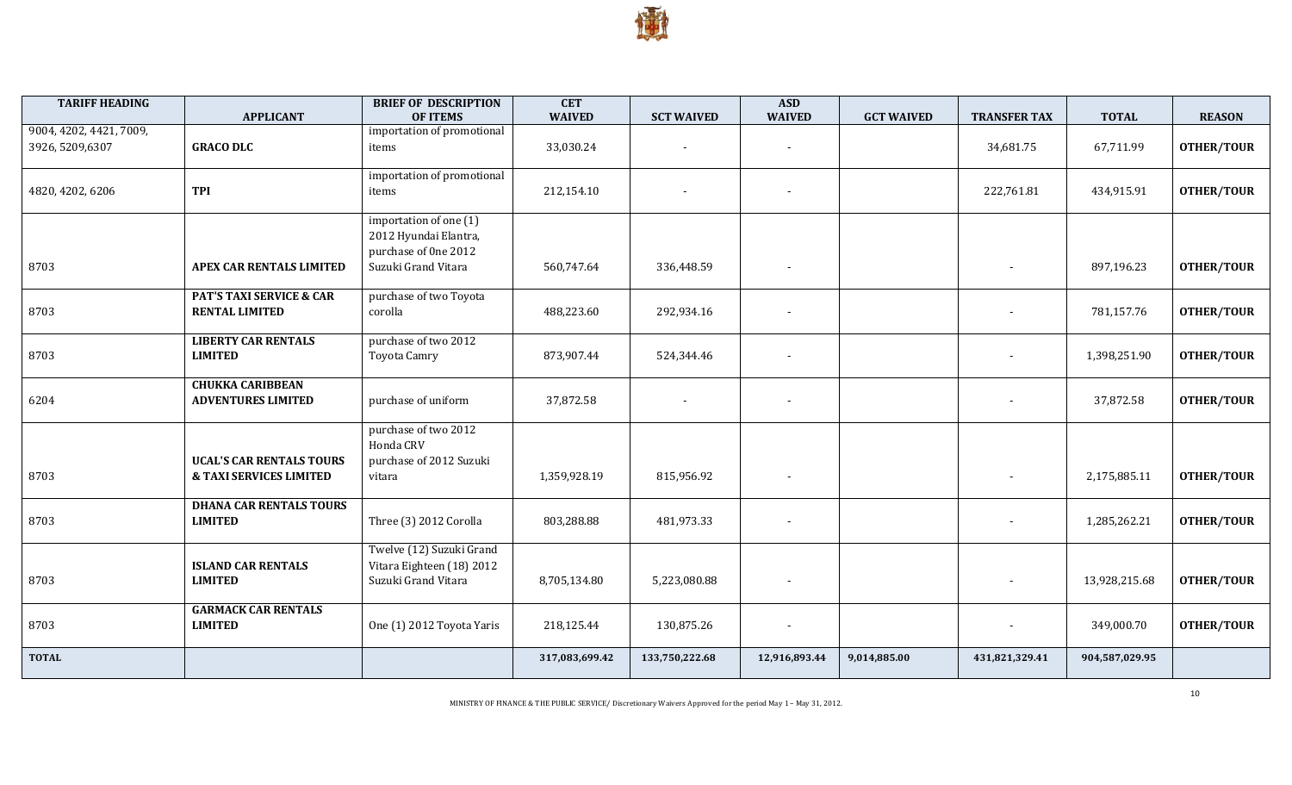

| <b>TARIFF HEADING</b>                       | <b>APPLICANT</b>                                                      | <b>BRIEF OF DESCRIPTION</b><br><b>OF ITEMS</b>                                                 | <b>CET</b><br><b>WAIVED</b> | <b>SCT WAIVED</b> | <b>ASD</b><br><b>WAIVED</b> | <b>GCT WAIVED</b> | <b>TRANSFER TAX</b> | <b>TOTAL</b>   | <b>REASON</b>     |
|---------------------------------------------|-----------------------------------------------------------------------|------------------------------------------------------------------------------------------------|-----------------------------|-------------------|-----------------------------|-------------------|---------------------|----------------|-------------------|
| 9004, 4202, 4421, 7009,<br>3926, 5209, 6307 | <b>GRACO DLC</b>                                                      | importation of promotional<br>items                                                            | 33,030.24                   |                   |                             |                   | 34,681.75           | 67,711.99      | <b>OTHER/TOUR</b> |
| 4820, 4202, 6206                            | <b>TPI</b>                                                            | importation of promotional<br>items                                                            | 212,154.10                  |                   |                             |                   | 222,761.81          | 434,915.91     | <b>OTHER/TOUR</b> |
| 8703                                        | APEX CAR RENTALS LIMITED                                              | importation of one (1)<br>2012 Hyundai Elantra,<br>purchase of 0ne 2012<br>Suzuki Grand Vitara | 560,747.64                  | 336,448.59        |                             |                   |                     | 897,196.23     | <b>OTHER/TOUR</b> |
| 8703                                        | <b>PAT'S TAXI SERVICE &amp; CAR</b><br><b>RENTAL LIMITED</b>          | purchase of two Toyota<br>corolla                                                              | 488,223.60                  | 292,934.16        |                             |                   |                     | 781,157.76     | <b>OTHER/TOUR</b> |
| 8703                                        | <b>LIBERTY CAR RENTALS</b><br><b>LIMITED</b>                          | purchase of two 2012<br>Toyota Camry                                                           | 873,907.44                  | 524,344.46        |                             |                   |                     | 1,398,251.90   | <b>OTHER/TOUR</b> |
| 6204                                        | <b>CHUKKA CARIBBEAN</b><br><b>ADVENTURES LIMITED</b>                  | purchase of uniform                                                                            | 37,872.58                   |                   |                             |                   |                     | 37,872.58      | <b>OTHER/TOUR</b> |
| 8703                                        | <b>UCAL'S CAR RENTALS TOURS</b><br><b>&amp; TAXI SERVICES LIMITED</b> | purchase of two 2012<br>Honda CRV<br>purchase of 2012 Suzuki<br>vitara                         | 1,359,928.19                | 815,956.92        | $\overline{\phantom{a}}$    |                   |                     | 2,175,885.11   | <b>OTHER/TOUR</b> |
| 8703                                        | <b>DHANA CAR RENTALS TOURS</b><br><b>LIMITED</b>                      | Three (3) 2012 Corolla                                                                         | 803,288.88                  | 481,973.33        |                             |                   |                     | 1,285,262.21   | <b>OTHER/TOUR</b> |
| 8703                                        | <b>ISLAND CAR RENTALS</b><br><b>LIMITED</b>                           | Twelve (12) Suzuki Grand<br>Vitara Eighteen (18) 2012<br>Suzuki Grand Vitara                   | 8,705,134.80                | 5,223,080.88      |                             |                   |                     | 13,928,215.68  | <b>OTHER/TOUR</b> |
| 8703                                        | <b>GARMACK CAR RENTALS</b><br><b>LIMITED</b>                          | One (1) 2012 Toyota Yaris                                                                      | 218,125.44                  | 130,875.26        |                             |                   |                     | 349,000.70     | <b>OTHER/TOUR</b> |
| <b>TOTAL</b>                                |                                                                       |                                                                                                | 317,083,699.42              | 133,750,222.68    | 12,916,893.44               | 9,014,885.00      | 431,821,329.41      | 904,587,029.95 |                   |